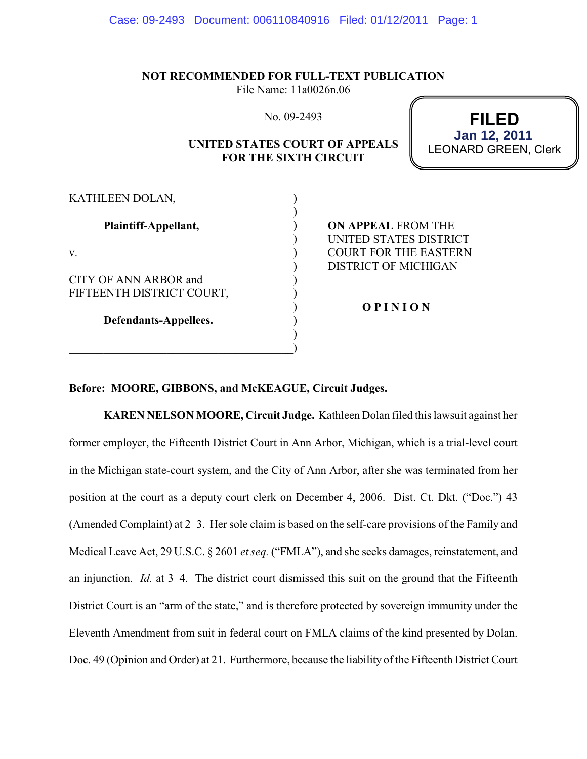**NOT RECOMMENDED FOR FULL-TEXT PUBLICATION**

File Name: 11a0026n.06

No. 09-2493

## **UNITED STATES COURT OF APPEALS FOR THE SIXTH CIRCUIT**

**FILED** LEONARD GREEN, Clerk **Jan 12, 2011**

| KATHLEEN DOLAN,                                    |                                                      |
|----------------------------------------------------|------------------------------------------------------|
| Plaintiff-Appellant,                               | <b>ON APPEAL FROM THE</b><br>UNITED STATES DISTRICT  |
| V.                                                 | <b>COURT FOR THE EASTERN</b><br>DISTRICT OF MICHIGAN |
| CITY OF ANN ARBOR and<br>FIFTEENTH DISTRICT COURT, |                                                      |
| Defendants-Appellees.                              | <b>OPINION</b>                                       |
|                                                    |                                                      |

## **Before: MOORE, GIBBONS, and McKEAGUE, Circuit Judges.**

**KAREN NELSON MOORE, Circuit Judge.** Kathleen Dolan filed this lawsuit against her former employer, the Fifteenth District Court in Ann Arbor, Michigan, which is a trial-level court in the Michigan state-court system, and the City of Ann Arbor, after she was terminated from her position at the court as a deputy court clerk on December 4, 2006. Dist. Ct. Dkt. ("Doc.") 43 (Amended Complaint) at 2–3. Her sole claim is based on the self-care provisions of the Family and Medical Leave Act, 29 U.S.C. § 2601 *et seq.* ("FMLA"), and she seeks damages, reinstatement, and an injunction. *Id.* at 3–4. The district court dismissed this suit on the ground that the Fifteenth District Court is an "arm of the state," and is therefore protected by sovereign immunity under the Eleventh Amendment from suit in federal court on FMLA claims of the kind presented by Dolan. Doc. 49 (Opinion and Order) at 21. Furthermore, because the liability of the Fifteenth District Court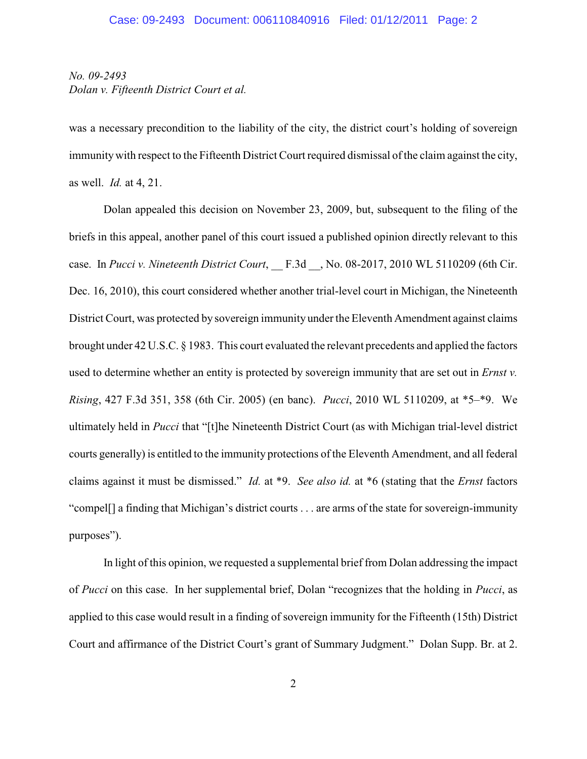## *No. 09-2493 Dolan v. Fifteenth District Court et al.*

was a necessary precondition to the liability of the city, the district court's holding of sovereign immunity with respect to the Fifteenth District Court required dismissal of the claim against the city, as well. *Id.* at 4, 21.

Dolan appealed this decision on November 23, 2009, but, subsequent to the filing of the briefs in this appeal, another panel of this court issued a published opinion directly relevant to this case. In *Pucci v. Nineteenth District Court*, F.3d , No. 08-2017, 2010 WL 5110209 (6th Cir. Dec. 16, 2010), this court considered whether another trial-level court in Michigan, the Nineteenth District Court, was protected by sovereign immunity under the Eleventh Amendment against claims brought under 42 U.S.C. § 1983. This court evaluated the relevant precedents and applied the factors used to determine whether an entity is protected by sovereign immunity that are set out in *Ernst v. Rising*, 427 F.3d 351, 358 (6th Cir. 2005) (en banc). *Pucci*, 2010 WL 5110209, at \*5–\*9. We ultimately held in *Pucci* that "[t]he Nineteenth District Court (as with Michigan trial-level district courts generally) is entitled to the immunity protections of the Eleventh Amendment, and all federal claims against it must be dismissed." *Id.* at \*9. *See also id.* at \*6 (stating that the *Ernst* factors "compel[] a finding that Michigan's district courts . . . are arms of the state for sovereign-immunity purposes").

In light of this opinion, we requested a supplemental brief from Dolan addressing the impact of *Pucci* on this case. In her supplemental brief, Dolan "recognizes that the holding in *Pucci*, as applied to this case would result in a finding of sovereign immunity for the Fifteenth (15th) District Court and affirmance of the District Court's grant of Summary Judgment." Dolan Supp. Br. at 2.